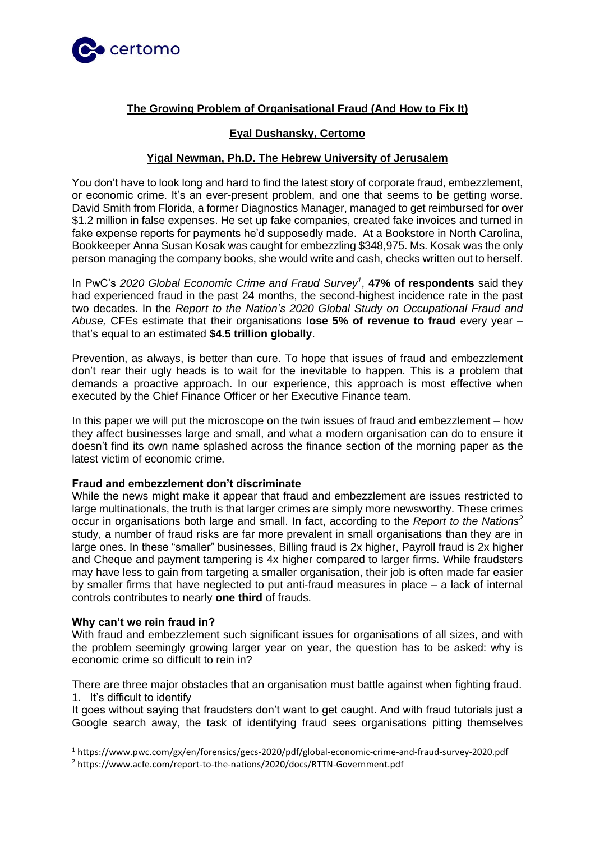

# **The Growing Problem of Organisational Fraud (And How to Fix It)**

## **Eyal Dushansky, Certomo**

# **Yigal Newman, Ph.D. The Hebrew University of Jerusalem**

You don't have to look long and hard to find the latest story of corporate fraud, embezzlement, or economic crime. It's an ever-present problem, and one that seems to be getting worse. David Smith from Florida, a former Diagnostics Manager, managed to get reimbursed for over \$1.2 million in false expenses. He set up fake companies, created fake invoices and turned in fake expense reports for payments he'd supposedly made. At a Bookstore in North Carolina, Bookkeeper Anna Susan Kosak was caught for embezzling \$348,975. Ms. Kosak was the only person managing the company books, she would write and cash, checks written out to herself.

In PwC's *2020 Global Economic Crime and Fraud Survey<sup>1</sup>* , **47% of respondents** said they had experienced fraud in the past 24 months, the second-highest incidence rate in the past two decades. In the *Report to the Nation's 2020 Global Study on Occupational Fraud and Abuse,* CFEs estimate that their organisations **lose 5% of revenue to fraud** every year – that's equal to an estimated **\$4.5 trillion globally**.

Prevention, as always, is better than cure. To hope that issues of fraud and embezzlement don't rear their ugly heads is to wait for the inevitable to happen. This is a problem that demands a proactive approach. In our experience, this approach is most effective when executed by the Chief Finance Officer or her Executive Finance team.

In this paper we will put the microscope on the twin issues of fraud and embezzlement – how they affect businesses large and small, and what a modern organisation can do to ensure it doesn't find its own name splashed across the finance section of the morning paper as the latest victim of economic crime.

### **Fraud and embezzlement don't discriminate**

While the news might make it appear that fraud and embezzlement are issues restricted to large multinationals, the truth is that larger crimes are simply more newsworthy. These crimes occur in organisations both large and small. In fact, according to the *Report to the Nations<sup>2</sup>* study, a number of fraud risks are far more prevalent in small organisations than they are in large ones. In these "smaller" businesses, Billing fraud is 2x higher, Payroll fraud is 2x higher and Cheque and payment tampering is 4x higher compared to larger firms. While fraudsters may have less to gain from targeting a smaller organisation, their job is often made far easier by smaller firms that have neglected to put anti-fraud measures in place – a lack of internal controls contributes to nearly **one third** of frauds.

### **Why can't we rein fraud in?**

With fraud and embezzlement such significant issues for organisations of all sizes, and with the problem seemingly growing larger year on year, the question has to be asked: why is economic crime so difficult to rein in?

There are three major obstacles that an organisation must battle against when fighting fraud. 1. It's difficult to identify

It goes without saying that fraudsters don't want to get caught. And with fraud tutorials just a Google search away, the task of identifying fraud sees organisations pitting themselves

<sup>1</sup> https://www.pwc.com/gx/en/forensics/gecs-2020/pdf/global-economic-crime-and-fraud-survey-2020.pdf

<sup>2</sup> https://www.acfe.com/report-to-the-nations/2020/docs/RTTN-Government.pdf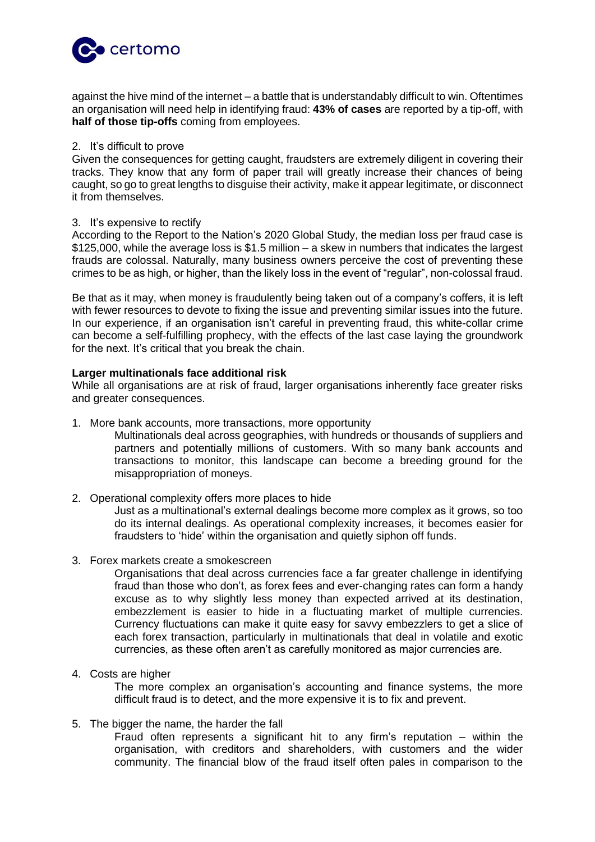

against the hive mind of the internet – a battle that is understandably difficult to win. Oftentimes an organisation will need help in identifying fraud: **43% of cases** are reported by a tip-off, with **half of those tip-offs** coming from employees.

# 2. It's difficult to prove

Given the consequences for getting caught, fraudsters are extremely diligent in covering their tracks. They know that any form of paper trail will greatly increase their chances of being caught, so go to great lengths to disguise their activity, make it appear legitimate, or disconnect it from themselves.

#### 3. It's expensive to rectify

According to the Report to the Nation's 2020 Global Study, the median loss per fraud case is \$125,000, while the average loss is \$1.5 million – a skew in numbers that indicates the largest frauds are colossal. Naturally, many business owners perceive the cost of preventing these crimes to be as high, or higher, than the likely loss in the event of "regular", non-colossal fraud.

Be that as it may, when money is fraudulently being taken out of a company's coffers, it is left with fewer resources to devote to fixing the issue and preventing similar issues into the future. In our experience, if an organisation isn't careful in preventing fraud, this white-collar crime can become a self-fulfilling prophecy, with the effects of the last case laying the groundwork for the next. It's critical that you break the chain.

### **Larger multinationals face additional risk**

While all organisations are at risk of fraud, larger organisations inherently face greater risks and greater consequences.

- 1. More bank accounts, more transactions, more opportunity
	- Multinationals deal across geographies, with hundreds or thousands of suppliers and partners and potentially millions of customers. With so many bank accounts and transactions to monitor, this landscape can become a breeding ground for the misappropriation of moneys.
- 2. Operational complexity offers more places to hide

Just as a multinational's external dealings become more complex as it grows, so too do its internal dealings. As operational complexity increases, it becomes easier for fraudsters to 'hide' within the organisation and quietly siphon off funds.

3. Forex markets create a smokescreen

Organisations that deal across currencies face a far greater challenge in identifying fraud than those who don't, as forex fees and ever-changing rates can form a handy excuse as to why slightly less money than expected arrived at its destination, embezzlement is easier to hide in a fluctuating market of multiple currencies. Currency fluctuations can make it quite easy for savvy embezzlers to get a slice of each forex transaction, particularly in multinationals that deal in volatile and exotic currencies, as these often aren't as carefully monitored as major currencies are.

4. Costs are higher

The more complex an organisation's accounting and finance systems, the more difficult fraud is to detect, and the more expensive it is to fix and prevent.

5. The bigger the name, the harder the fall

Fraud often represents a significant hit to any firm's reputation – within the organisation, with creditors and shareholders, with customers and the wider community. The financial blow of the fraud itself often pales in comparison to the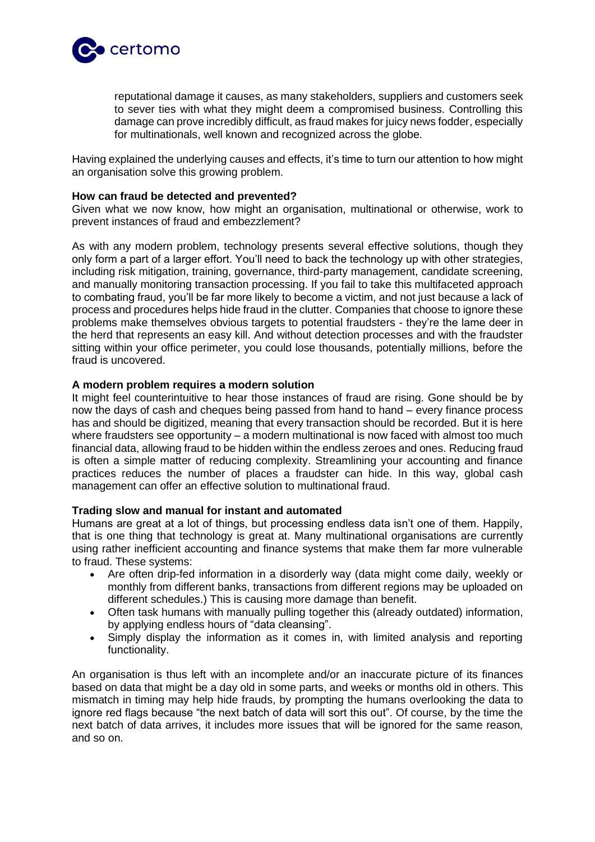

reputational damage it causes, as many stakeholders, suppliers and customers seek to sever ties with what they might deem a compromised business. Controlling this damage can prove incredibly difficult, as fraud makes for juicy news fodder, especially for multinationals, well known and recognized across the globe.

Having explained the underlying causes and effects, it's time to turn our attention to how might an organisation solve this growing problem.

#### **How can fraud be detected and prevented?**

Given what we now know, how might an organisation, multinational or otherwise, work to prevent instances of fraud and embezzlement?

As with any modern problem, technology presents several effective solutions, though they only form a part of a larger effort. You'll need to back the technology up with other strategies, including risk mitigation, training, governance, third-party management, candidate screening, and manually monitoring transaction processing. If you fail to take this multifaceted approach to combating fraud, you'll be far more likely to become a victim, and not just because a lack of process and procedures helps hide fraud in the clutter. Companies that choose to ignore these problems make themselves obvious targets to potential fraudsters - they're the lame deer in the herd that represents an easy kill. And without detection processes and with the fraudster sitting within your office perimeter, you could lose thousands, potentially millions, before the fraud is uncovered.

#### **A modern problem requires a modern solution**

It might feel counterintuitive to hear those instances of fraud are rising. Gone should be by now the days of cash and cheques being passed from hand to hand – every finance process has and should be digitized, meaning that every transaction should be recorded. But it is here where fraudsters see opportunity – a modern multinational is now faced with almost too much financial data, allowing fraud to be hidden within the endless zeroes and ones. Reducing fraud is often a simple matter of reducing complexity. Streamlining your accounting and finance practices reduces the number of places a fraudster can hide. In this way, global cash management can offer an effective solution to multinational fraud.

### **Trading slow and manual for instant and automated**

Humans are great at a lot of things, but processing endless data isn't one of them. Happily, that is one thing that technology is great at. Many multinational organisations are currently using rather inefficient accounting and finance systems that make them far more vulnerable to fraud. These systems:

- Are often drip-fed information in a disorderly way (data might come daily, weekly or monthly from different banks, transactions from different regions may be uploaded on different schedules.) This is causing more damage than benefit.
- Often task humans with manually pulling together this (already outdated) information, by applying endless hours of "data cleansing".
- Simply display the information as it comes in, with limited analysis and reporting functionality.

An organisation is thus left with an incomplete and/or an inaccurate picture of its finances based on data that might be a day old in some parts, and weeks or months old in others. This mismatch in timing may help hide frauds, by prompting the humans overlooking the data to ignore red flags because "the next batch of data will sort this out". Of course, by the time the next batch of data arrives, it includes more issues that will be ignored for the same reason, and so on.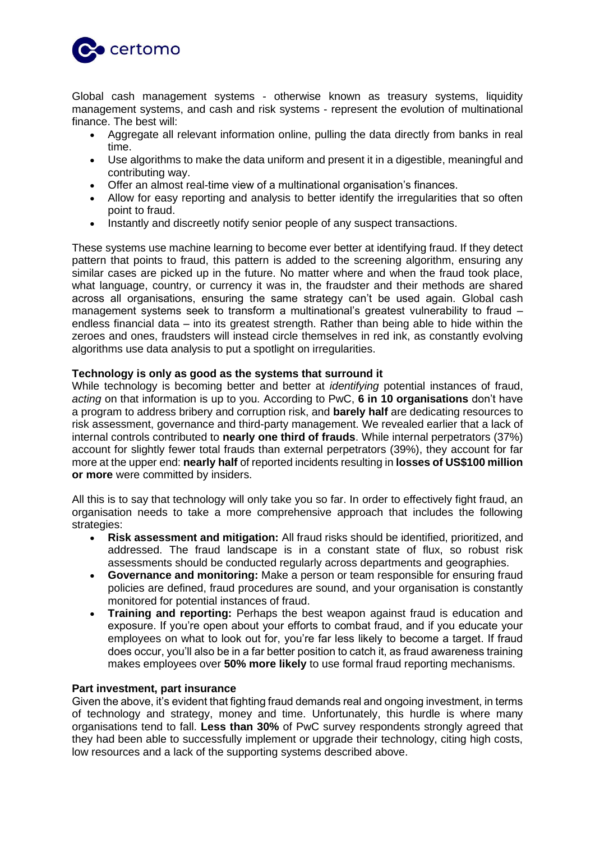

Global cash management systems - otherwise known as treasury systems, liquidity management systems, and cash and risk systems - represent the evolution of multinational finance. The best will:

- Aggregate all relevant information online, pulling the data directly from banks in real time.
- Use algorithms to make the data uniform and present it in a digestible, meaningful and contributing way.
- Offer an almost real-time view of a multinational organisation's finances.
- Allow for easy reporting and analysis to better identify the irregularities that so often point to fraud.
- Instantly and discreetly notify senior people of any suspect transactions.

These systems use machine learning to become ever better at identifying fraud. If they detect pattern that points to fraud, this pattern is added to the screening algorithm, ensuring any similar cases are picked up in the future. No matter where and when the fraud took place, what language, country, or currency it was in, the fraudster and their methods are shared across all organisations, ensuring the same strategy can't be used again. Global cash management systems seek to transform a multinational's greatest vulnerability to fraud – endless financial data – into its greatest strength. Rather than being able to hide within the zeroes and ones, fraudsters will instead circle themselves in red ink, as constantly evolving algorithms use data analysis to put a spotlight on irregularities.

## **Technology is only as good as the systems that surround it**

While technology is becoming better and better at *identifying* potential instances of fraud, *acting* on that information is up to you. According to PwC, **6 in 10 organisations** don't have a program to address bribery and corruption risk, and **barely half** are dedicating resources to risk assessment, governance and third-party management. We revealed earlier that a lack of internal controls contributed to **nearly one third of frauds**. While internal perpetrators (37%) account for slightly fewer total frauds than external perpetrators (39%), they account for far more at the upper end: **nearly half** of reported incidents resulting in **losses of US\$100 million or more** were committed by insiders.

All this is to say that technology will only take you so far. In order to effectively fight fraud, an organisation needs to take a more comprehensive approach that includes the following strategies:

- **Risk assessment and mitigation:** All fraud risks should be identified, prioritized, and addressed. The fraud landscape is in a constant state of flux, so robust risk assessments should be conducted regularly across departments and geographies.
- **Governance and monitoring:** Make a person or team responsible for ensuring fraud policies are defined, fraud procedures are sound, and your organisation is constantly monitored for potential instances of fraud.
- **Training and reporting:** Perhaps the best weapon against fraud is education and exposure. If you're open about your efforts to combat fraud, and if you educate your employees on what to look out for, you're far less likely to become a target. If fraud does occur, you'll also be in a far better position to catch it, as fraud awareness training makes employees over **50% more likely** to use formal fraud reporting mechanisms.

### **Part investment, part insurance**

Given the above, it's evident that fighting fraud demands real and ongoing investment, in terms of technology and strategy, money and time. Unfortunately, this hurdle is where many organisations tend to fall. **Less than 30%** of PwC survey respondents strongly agreed that they had been able to successfully implement or upgrade their technology, citing high costs, low resources and a lack of the supporting systems described above.